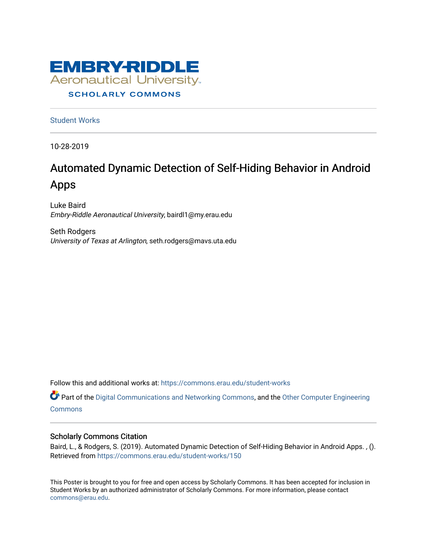

### **SCHOLARLY COMMONS**

[Student Works](https://commons.erau.edu/student-works)

10-28-2019

### Automated Dynamic Detection of Self-Hiding Behavior in Android Apps

Luke Baird Embry-Riddle Aeronautical University, bairdl1@my.erau.edu

Seth Rodgers University of Texas at Arlington, seth.rodgers@mavs.uta.edu

Follow this and additional works at: [https://commons.erau.edu/student-works](https://commons.erau.edu/student-works?utm_source=commons.erau.edu%2Fstudent-works%2F150&utm_medium=PDF&utm_campaign=PDFCoverPages) 

Part of the [Digital Communications and Networking Commons,](http://network.bepress.com/hgg/discipline/262?utm_source=commons.erau.edu%2Fstudent-works%2F150&utm_medium=PDF&utm_campaign=PDFCoverPages) and the [Other Computer Engineering](http://network.bepress.com/hgg/discipline/265?utm_source=commons.erau.edu%2Fstudent-works%2F150&utm_medium=PDF&utm_campaign=PDFCoverPages)  **[Commons](http://network.bepress.com/hgg/discipline/265?utm_source=commons.erau.edu%2Fstudent-works%2F150&utm_medium=PDF&utm_campaign=PDFCoverPages)** 

### Scholarly Commons Citation

Baird, L., & Rodgers, S. (2019). Automated Dynamic Detection of Self-Hiding Behavior in Android Apps. , (). Retrieved from [https://commons.erau.edu/student-works/150](https://commons.erau.edu/student-works/150?utm_source=commons.erau.edu%2Fstudent-works%2F150&utm_medium=PDF&utm_campaign=PDFCoverPages)

This Poster is brought to you for free and open access by Scholarly Commons. It has been accepted for inclusion in Student Works by an authorized administrator of Scholarly Commons. For more information, please contact [commons@erau.edu](mailto:commons@erau.edu).